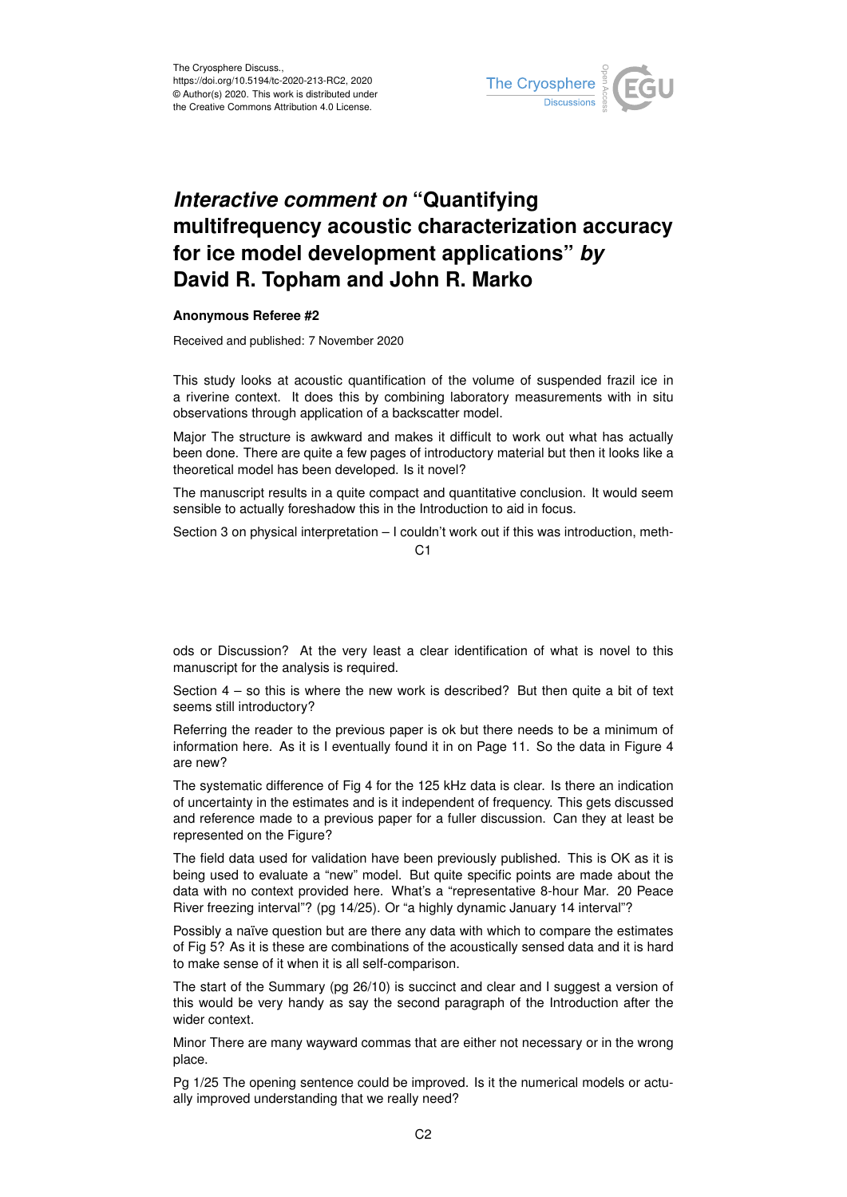

## *Interactive comment on* **"Quantifying multifrequency acoustic characterization accuracy for ice model development applications"** *by* **David R. Topham and John R. Marko**

## **Anonymous Referee #2**

Received and published: 7 November 2020

This study looks at acoustic quantification of the volume of suspended frazil ice in a riverine context. It does this by combining laboratory measurements with in situ observations through application of a backscatter model.

Major The structure is awkward and makes it difficult to work out what has actually been done. There are quite a few pages of introductory material but then it looks like a theoretical model has been developed. Is it novel?

The manuscript results in a quite compact and quantitative conclusion. It would seem sensible to actually foreshadow this in the Introduction to aid in focus.

Section 3 on physical interpretation – I couldn't work out if this was introduction, meth-

 $C<sub>1</sub>$ 

ods or Discussion? At the very least a clear identification of what is novel to this manuscript for the analysis is required.

Section 4 – so this is where the new work is described? But then quite a bit of text seems still introductory?

Referring the reader to the previous paper is ok but there needs to be a minimum of information here. As it is I eventually found it in on Page 11. So the data in Figure 4 are new?

The systematic difference of Fig 4 for the 125 kHz data is clear. Is there an indication of uncertainty in the estimates and is it independent of frequency. This gets discussed and reference made to a previous paper for a fuller discussion. Can they at least be represented on the Figure?

The field data used for validation have been previously published. This is OK as it is being used to evaluate a "new" model. But quite specific points are made about the data with no context provided here. What's a "representative 8-hour Mar. 20 Peace River freezing interval"? (pg 14/25). Or "a highly dynamic January 14 interval"?

Possibly a naïve question but are there any data with which to compare the estimates of Fig 5? As it is these are combinations of the acoustically sensed data and it is hard to make sense of it when it is all self-comparison.

The start of the Summary (pg 26/10) is succinct and clear and I suggest a version of this would be very handy as say the second paragraph of the Introduction after the wider context.

Minor There are many wayward commas that are either not necessary or in the wrong place.

Pg 1/25 The opening sentence could be improved. Is it the numerical models or actually improved understanding that we really need?